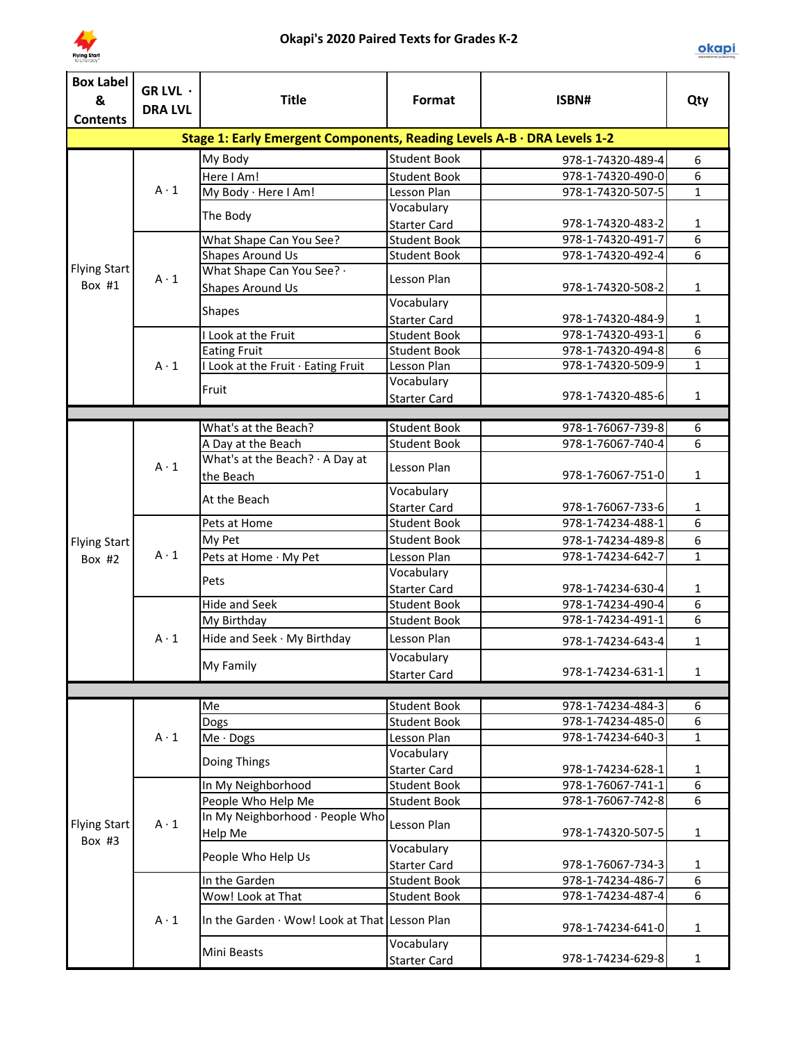

| <b>Box Label</b>    | GR LVL ·                                                                |                                                             |                                   |                   |                |  |  |  |
|---------------------|-------------------------------------------------------------------------|-------------------------------------------------------------|-----------------------------------|-------------------|----------------|--|--|--|
| &                   | <b>DRA LVL</b>                                                          | <b>Title</b>                                                | Format                            | ISBN#             | Qty            |  |  |  |
| <b>Contents</b>     |                                                                         |                                                             |                                   |                   |                |  |  |  |
|                     | Stage 1: Early Emergent Components, Reading Levels A-B · DRA Levels 1-2 |                                                             |                                   |                   |                |  |  |  |
|                     |                                                                         | My Body                                                     | <b>Student Book</b>               | 978-1-74320-489-4 | 6              |  |  |  |
|                     |                                                                         | Here I Am!                                                  | <b>Student Book</b>               | 978-1-74320-490-0 | 6              |  |  |  |
|                     | $A \cdot 1$                                                             | My Body · Here I Am!                                        | Lesson Plan                       | 978-1-74320-507-5 | $\mathbf{1}$   |  |  |  |
|                     |                                                                         | The Body                                                    | Vocabulary                        |                   |                |  |  |  |
|                     |                                                                         |                                                             | <b>Starter Card</b>               | 978-1-74320-483-2 | 1              |  |  |  |
|                     |                                                                         | What Shape Can You See?                                     | <b>Student Book</b>               | 978-1-74320-491-7 | $\overline{6}$ |  |  |  |
|                     |                                                                         | <b>Shapes Around Us</b>                                     | <b>Student Book</b>               | 978-1-74320-492-4 | 6              |  |  |  |
| <b>Flying Start</b> | $A \cdot 1$                                                             | What Shape Can You See? .                                   | Lesson Plan                       |                   |                |  |  |  |
| Box #1              |                                                                         | Shapes Around Us                                            |                                   | 978-1-74320-508-2 | $\mathbf{1}$   |  |  |  |
|                     |                                                                         | <b>Shapes</b>                                               | Vocabulary                        |                   |                |  |  |  |
|                     |                                                                         |                                                             | <b>Starter Card</b>               | 978-1-74320-484-9 | 1              |  |  |  |
|                     |                                                                         | I Look at the Fruit                                         | <b>Student Book</b>               | 978-1-74320-493-1 | 6              |  |  |  |
|                     |                                                                         | <b>Eating Fruit</b>                                         | <b>Student Book</b>               | 978-1-74320-494-8 | 6              |  |  |  |
|                     | $A \cdot 1$                                                             | I Look at the Fruit · Eating Fruit                          | Lesson Plan                       | 978-1-74320-509-9 | $\mathbf{1}$   |  |  |  |
|                     |                                                                         | Fruit                                                       | Vocabulary                        |                   |                |  |  |  |
|                     |                                                                         |                                                             | <b>Starter Card</b>               | 978-1-74320-485-6 | $\mathbf{1}$   |  |  |  |
|                     |                                                                         |                                                             |                                   | 978-1-76067-739-8 |                |  |  |  |
|                     |                                                                         | What's at the Beach?                                        | <b>Student Book</b>               | 978-1-76067-740-4 | 6<br>6         |  |  |  |
|                     |                                                                         | A Day at the Beach<br>What's at the Beach? $\cdot$ A Day at | <b>Student Book</b>               |                   |                |  |  |  |
|                     | $A \cdot 1$                                                             | the Beach                                                   | Lesson Plan                       | 978-1-76067-751-0 | $\mathbf{1}$   |  |  |  |
|                     |                                                                         |                                                             | Vocabulary                        |                   |                |  |  |  |
|                     |                                                                         | At the Beach                                                | <b>Starter Card</b>               | 978-1-76067-733-6 | 1              |  |  |  |
|                     | $A \cdot 1$                                                             | Pets at Home                                                | <b>Student Book</b>               | 978-1-74234-488-1 | $\overline{6}$ |  |  |  |
| <b>Flying Start</b> |                                                                         | My Pet                                                      | <b>Student Book</b>               | 978-1-74234-489-8 | 6              |  |  |  |
| Box $#2$            |                                                                         | Pets at Home · My Pet                                       | Lesson Plan                       | 978-1-74234-642-7 | $\mathbf{1}$   |  |  |  |
|                     |                                                                         |                                                             | Vocabulary                        |                   |                |  |  |  |
|                     |                                                                         | Pets                                                        | <b>Starter Card</b>               | 978-1-74234-630-4 | $\mathbf{1}$   |  |  |  |
|                     |                                                                         | <b>Hide and Seek</b>                                        | <b>Student Book</b>               | 978-1-74234-490-4 | 6              |  |  |  |
|                     |                                                                         | My Birthday                                                 | <b>Student Book</b>               | 978-1-74234-491-1 | 6              |  |  |  |
|                     | $A \cdot 1$                                                             | Hide and Seek · My Birthday                                 | Lesson Plan                       | 978-1-74234-643-4 |                |  |  |  |
|                     |                                                                         |                                                             | Vocabulary                        |                   | 1              |  |  |  |
|                     |                                                                         | My Family                                                   |                                   | 978-1-74234-631-1 | 1              |  |  |  |
|                     |                                                                         |                                                             | <b>Starter Card</b>               |                   |                |  |  |  |
|                     |                                                                         | Me                                                          | <b>Student Book</b>               | 978-1-74234-484-3 | 6              |  |  |  |
|                     |                                                                         | Dogs                                                        | <b>Student Book</b>               | 978-1-74234-485-0 | 6              |  |  |  |
|                     | $A \cdot 1$                                                             | $Me \cdot$ Dogs                                             | Lesson Plan                       | 978-1-74234-640-3 | $\mathbf{1}$   |  |  |  |
|                     |                                                                         |                                                             | Vocabulary                        |                   |                |  |  |  |
|                     |                                                                         | Doing Things                                                | <b>Starter Card</b>               | 978-1-74234-628-1 | 1              |  |  |  |
|                     |                                                                         | In My Neighborhood                                          | <b>Student Book</b>               | 978-1-76067-741-1 | $\overline{6}$ |  |  |  |
|                     |                                                                         | People Who Help Me                                          | <b>Student Book</b>               | 978-1-76067-742-8 | 6              |  |  |  |
|                     |                                                                         | In My Neighborhood · People Who                             |                                   |                   |                |  |  |  |
| <b>Flying Start</b> | $A \cdot 1$                                                             | Help Me                                                     | Lesson Plan                       | 978-1-74320-507-5 | $\mathbf{1}$   |  |  |  |
| Box $#3$            |                                                                         |                                                             | Vocabulary                        |                   |                |  |  |  |
|                     |                                                                         | People Who Help Us                                          | <b>Starter Card</b>               | 978-1-76067-734-3 | 1              |  |  |  |
|                     |                                                                         | In the Garden                                               | <b>Student Book</b>               | 978-1-74234-486-7 | 6              |  |  |  |
|                     |                                                                         | Wow! Look at That                                           | <b>Student Book</b>               | 978-1-74234-487-4 | 6              |  |  |  |
|                     | $A \cdot 1$                                                             | In the Garden $\cdot$ Wow! Look at That Lesson Plan         |                                   | 978-1-74234-641-0 | $\mathbf{1}$   |  |  |  |
|                     |                                                                         | Mini Beasts                                                 | Vocabulary<br><b>Starter Card</b> | 978-1-74234-629-8 | $\mathbf{1}$   |  |  |  |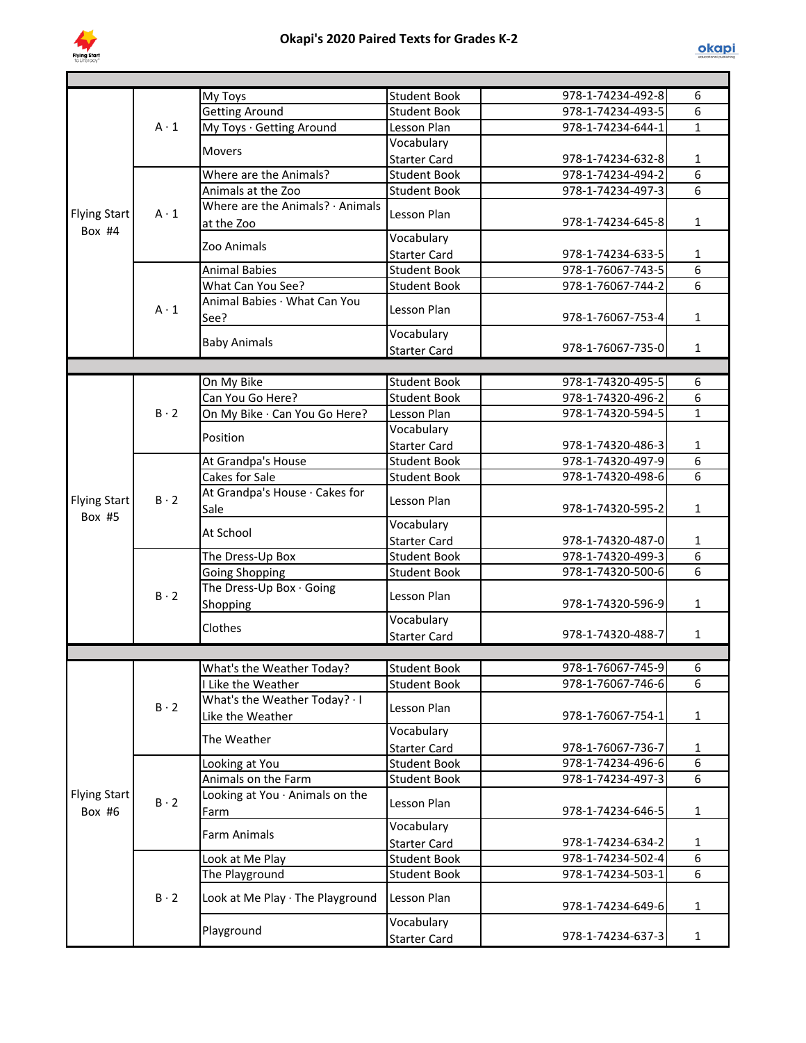

|                     |             | My Toys                          | <b>Student Book</b> | 978-1-74234-492-8 | 6              |
|---------------------|-------------|----------------------------------|---------------------|-------------------|----------------|
|                     |             | <b>Getting Around</b>            | <b>Student Book</b> | 978-1-74234-493-5 | $\overline{6}$ |
|                     | $A \cdot 1$ | My Toys · Getting Around         | Lesson Plan         | 978-1-74234-644-1 | $\mathbf{1}$   |
|                     |             | <b>Movers</b>                    | Vocabulary          |                   |                |
|                     |             |                                  | <b>Starter Card</b> | 978-1-74234-632-8 | $\mathbf{1}$   |
|                     |             | Where are the Animals?           | <b>Student Book</b> | 978-1-74234-494-2 | $\overline{6}$ |
|                     |             | Animals at the Zoo               | <b>Student Book</b> | 978-1-74234-497-3 | 6              |
| <b>Flying Start</b> | $A \cdot 1$ | Where are the Animals? · Animals | Lesson Plan         |                   |                |
| Box #4              |             | at the Zoo                       |                     | 978-1-74234-645-8 | $\mathbf{1}$   |
|                     |             | Zoo Animals                      | Vocabulary          |                   |                |
|                     |             |                                  | <b>Starter Card</b> | 978-1-74234-633-5 | $\mathbf{1}$   |
|                     |             | <b>Animal Babies</b>             | <b>Student Book</b> | 978-1-76067-743-5 | 6              |
|                     |             | What Can You See?                | <b>Student Book</b> | 978-1-76067-744-2 | 6              |
|                     | $A \cdot 1$ | Animal Babies · What Can You     | Lesson Plan         |                   |                |
|                     |             | See?                             |                     | 978-1-76067-753-4 | $\mathbf{1}$   |
|                     |             | <b>Baby Animals</b>              | Vocabulary          |                   |                |
|                     |             |                                  | <b>Starter Card</b> | 978-1-76067-735-0 | $\mathbf{1}$   |
|                     |             |                                  |                     |                   |                |
|                     |             | On My Bike                       | <b>Student Book</b> | 978-1-74320-495-5 | 6              |
|                     |             | Can You Go Here?                 | <b>Student Book</b> | 978-1-74320-496-2 | 6              |
|                     | $B \cdot 2$ | On My Bike · Can You Go Here?    | Lesson Plan         | 978-1-74320-594-5 | $\mathbf{1}$   |
|                     |             | Position                         | Vocabulary          |                   |                |
|                     |             |                                  | <b>Starter Card</b> | 978-1-74320-486-3 | $\mathbf{1}$   |
|                     |             | At Grandpa's House               | <b>Student Book</b> | 978-1-74320-497-9 | 6              |
|                     |             | Cakes for Sale                   | <b>Student Book</b> | 978-1-74320-498-6 | 6              |
| <b>Flying Start</b> | $B \cdot 2$ | At Grandpa's House · Cakes for   | Lesson Plan         |                   |                |
| Box #5              |             | Sale                             |                     | 978-1-74320-595-2 | $\mathbf{1}$   |
|                     |             | At School                        | Vocabulary          |                   |                |
|                     |             |                                  | <b>Starter Card</b> | 978-1-74320-487-0 | $\mathbf 1$    |
|                     |             | The Dress-Up Box                 | <b>Student Book</b> | 978-1-74320-499-3 | $\overline{6}$ |
|                     |             | <b>Going Shopping</b>            | <b>Student Book</b> | 978-1-74320-500-6 | 6              |
|                     | $B \cdot 2$ | The Dress-Up Box · Going         | Lesson Plan         |                   |                |
|                     |             | Shopping                         |                     | 978-1-74320-596-9 | $\mathbf{1}$   |
|                     |             | Clothes                          | Vocabulary          |                   |                |
|                     |             |                                  | <b>Starter Card</b> | 978-1-74320-488-7 | $\mathbf{1}$   |
|                     |             |                                  |                     |                   |                |
|                     |             | What's the Weather Today?        | <b>Student Book</b> | 978-1-76067-745-9 | $\overline{6}$ |
|                     |             | I Like the Weather               | <b>Student Book</b> | 978-1-76067-746-6 | 6              |
|                     | $B \cdot 2$ | What's the Weather Today? · I    | Lesson Plan         |                   |                |
|                     |             | Like the Weather                 |                     | 978-1-76067-754-1 | $\mathbf{1}$   |
|                     |             | The Weather                      | Vocabulary          |                   |                |
|                     |             |                                  | <b>Starter Card</b> | 978-1-76067-736-7 | 1              |
|                     |             | Looking at You                   | <b>Student Book</b> | 978-1-74234-496-6 | 6              |
|                     |             | Animals on the Farm              | <b>Student Book</b> | 978-1-74234-497-3 | 6              |
| <b>Flying Start</b> | $B \cdot 2$ | Looking at You · Animals on the  | Lesson Plan         |                   |                |
| Box #6              |             | Farm                             |                     | 978-1-74234-646-5 | 1              |
|                     |             | <b>Farm Animals</b>              | Vocabulary          |                   |                |
|                     |             |                                  | <b>Starter Card</b> | 978-1-74234-634-2 | 1              |
|                     |             | Look at Me Play                  | <b>Student Book</b> | 978-1-74234-502-4 | $\overline{6}$ |
|                     |             | The Playground                   | <b>Student Book</b> | 978-1-74234-503-1 | 6              |
|                     | $B \cdot 2$ | Look at Me Play · The Playground | Lesson Plan         | 978-1-74234-649-6 | 1              |
|                     |             | Playground                       | Vocabulary          |                   |                |
|                     |             |                                  | <b>Starter Card</b> | 978-1-74234-637-3 | $\mathbf{1}$   |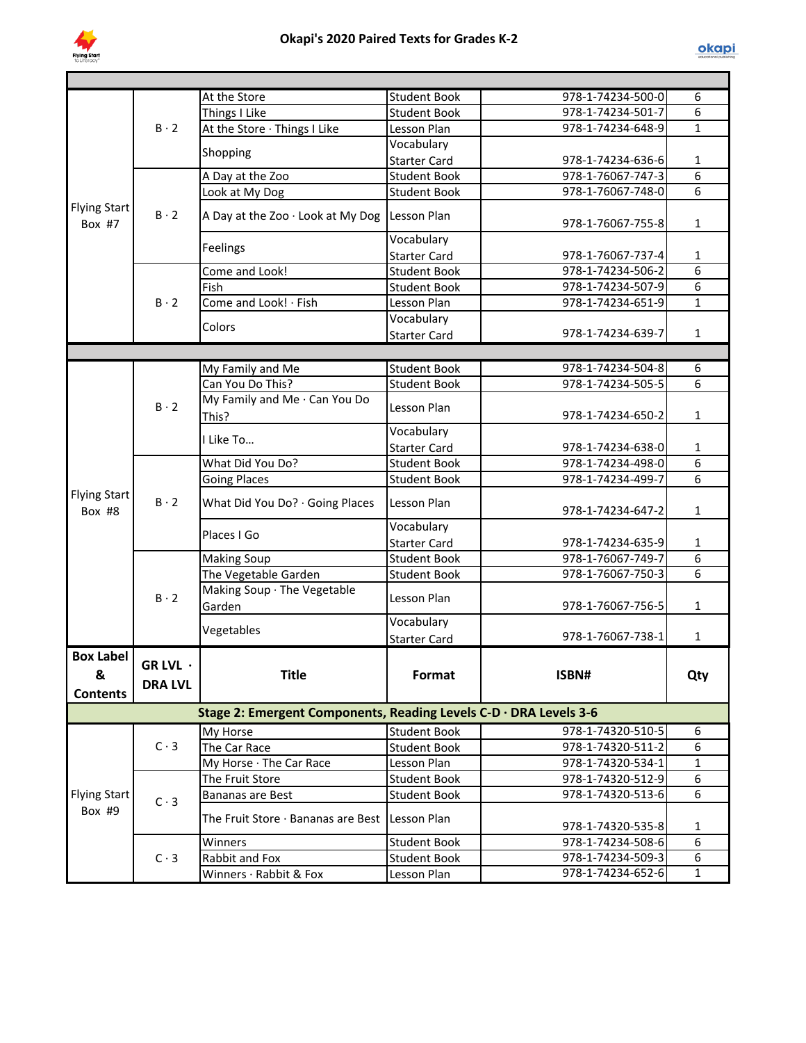

|                                          |                                  | At the Store                                                      | <b>Student Book</b> | 978-1-74234-500-0 | 6            |
|------------------------------------------|----------------------------------|-------------------------------------------------------------------|---------------------|-------------------|--------------|
|                                          |                                  | Things I Like                                                     | <b>Student Book</b> | 978-1-74234-501-7 | 6            |
|                                          | $B \cdot 2$                      | At the Store · Things I Like                                      | Lesson Plan         | 978-1-74234-648-9 | $\mathbf{1}$ |
|                                          |                                  |                                                                   | Vocabulary          |                   |              |
|                                          |                                  | Shopping                                                          | <b>Starter Card</b> | 978-1-74234-636-6 | $\mathbf{1}$ |
|                                          |                                  | A Day at the Zoo                                                  | <b>Student Book</b> | 978-1-76067-747-3 | 6            |
|                                          |                                  | Look at My Dog                                                    | <b>Student Book</b> | 978-1-76067-748-0 | 6            |
| <b>Flying Start</b><br>Box #7            | $B \cdot 2$                      | A Day at the Zoo · Look at My Dog                                 | Lesson Plan         | 978-1-76067-755-8 | $\mathbf{1}$ |
|                                          |                                  |                                                                   | Vocabulary          |                   |              |
|                                          |                                  | Feelings                                                          | <b>Starter Card</b> | 978-1-76067-737-4 | $\mathbf{1}$ |
|                                          |                                  | Come and Look!                                                    | <b>Student Book</b> | 978-1-74234-506-2 | 6            |
|                                          |                                  | Fish                                                              | <b>Student Book</b> | 978-1-74234-507-9 | 6            |
|                                          | $B \cdot 2$                      | Come and Look! · Fish                                             | Lesson Plan         | 978-1-74234-651-9 | $\mathbf{1}$ |
|                                          |                                  |                                                                   | Vocabulary          |                   |              |
|                                          |                                  | Colors                                                            | <b>Starter Card</b> | 978-1-74234-639-7 | $\mathbf{1}$ |
|                                          |                                  |                                                                   |                     |                   |              |
|                                          |                                  | My Family and Me                                                  | <b>Student Book</b> | 978-1-74234-504-8 | 6            |
|                                          |                                  | Can You Do This?                                                  | <b>Student Book</b> | 978-1-74234-505-5 | 6            |
|                                          | $B \cdot 2$                      | My Family and Me · Can You Do<br>This?                            | Lesson Plan         | 978-1-74234-650-2 | $\mathbf{1}$ |
|                                          |                                  |                                                                   | Vocabulary          |                   |              |
|                                          |                                  | I Like To                                                         | <b>Starter Card</b> | 978-1-74234-638-0 | $\mathbf{1}$ |
|                                          |                                  | What Did You Do?                                                  | <b>Student Book</b> | 978-1-74234-498-0 | 6            |
|                                          | $B \cdot 2$                      | <b>Going Places</b>                                               | <b>Student Book</b> | 978-1-74234-499-7 | 6            |
| <b>Flying Start</b><br>Box #8            |                                  | What Did You Do? · Going Places                                   | Lesson Plan         | 978-1-74234-647-2 | $\mathbf{1}$ |
|                                          |                                  | Places I Go                                                       | Vocabulary          |                   |              |
|                                          |                                  |                                                                   | <b>Starter Card</b> | 978-1-74234-635-9 | $\mathbf{1}$ |
|                                          |                                  | <b>Making Soup</b>                                                | <b>Student Book</b> | 978-1-76067-749-7 | 6            |
|                                          |                                  | The Vegetable Garden                                              | <b>Student Book</b> | 978-1-76067-750-3 | 6            |
|                                          | $B \cdot 2$                      | Making Soup · The Vegetable<br>Garden                             | Lesson Plan         | 978-1-76067-756-5 | $\mathbf{1}$ |
|                                          |                                  |                                                                   | Vocabulary          |                   |              |
|                                          |                                  | Vegetables                                                        | <b>Starter Card</b> | 978-1-76067-738-1 | $\mathbf{1}$ |
| <b>Box Label</b><br>&<br><b>Contents</b> | GR LVL $\cdot$<br><b>DRA LVL</b> | <b>Title</b>                                                      | Format              | ISBN#             | Qty          |
|                                          |                                  | Stage 2: Emergent Components, Reading Levels C-D · DRA Levels 3-6 |                     |                   |              |
|                                          |                                  | My Horse                                                          | Student Book        | 978-1-74320-510-5 | 6            |
|                                          | $C \cdot 3$                      | The Car Race                                                      | <b>Student Book</b> | 978-1-74320-511-2 | 6            |
|                                          |                                  | My Horse · The Car Race                                           | Lesson Plan         | 978-1-74320-534-1 | $\mathbf{1}$ |
|                                          |                                  | The Fruit Store                                                   | <b>Student Book</b> | 978-1-74320-512-9 | 6            |
| <b>Flying Start</b>                      | $C \cdot 3$                      | <b>Bananas are Best</b>                                           | <b>Student Book</b> | 978-1-74320-513-6 | 6            |
| Box #9                                   |                                  | The Fruit Store $\cdot$ Bananas are Best Lesson Plan              |                     | 978-1-74320-535-8 | 1            |
|                                          |                                  | Winners                                                           | <b>Student Book</b> | 978-1-74234-508-6 | 6            |
|                                          | $C \cdot 3$                      | Rabbit and Fox                                                    | <b>Student Book</b> | 978-1-74234-509-3 | 6            |
|                                          |                                  | Winners · Rabbit & Fox                                            | Lesson Plan         | 978-1-74234-652-6 | $\mathbf{1}$ |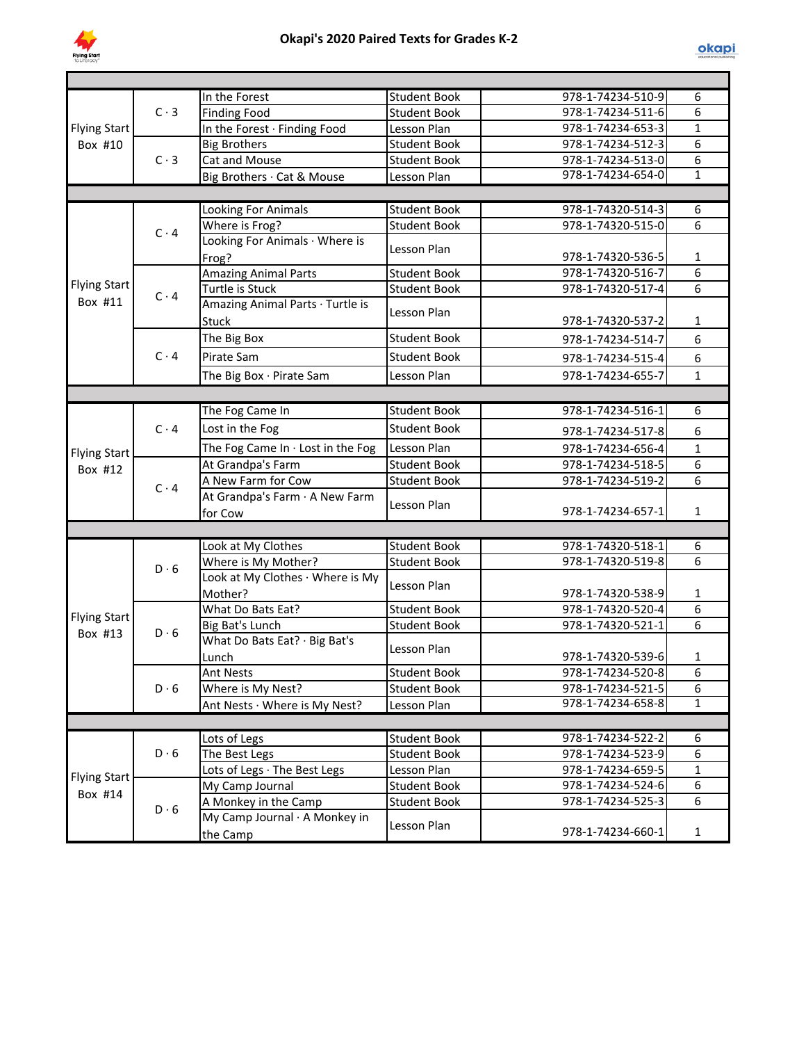

|                     |             | In the Forest                     | <b>Student Book</b> | 978-1-74234-510-9 | 6              |
|---------------------|-------------|-----------------------------------|---------------------|-------------------|----------------|
|                     | $C \cdot 3$ | <b>Finding Food</b>               | <b>Student Book</b> | 978-1-74234-511-6 | 6              |
| <b>Flying Start</b> |             | In the Forest · Finding Food      | Lesson Plan         | 978-1-74234-653-3 | $\mathbf{1}$   |
| Box #10             |             | <b>Big Brothers</b>               | <b>Student Book</b> | 978-1-74234-512-3 | 6              |
|                     | $C \cdot 3$ | <b>Cat and Mouse</b>              | <b>Student Book</b> | 978-1-74234-513-0 | 6              |
|                     |             | Big Brothers · Cat & Mouse        | Lesson Plan         | 978-1-74234-654-0 | $\mathbf{1}$   |
|                     |             |                                   |                     |                   |                |
|                     |             | Looking For Animals               | <b>Student Book</b> | 978-1-74320-514-3 | 6              |
|                     | $C \cdot 4$ | Where is Frog?                    | <b>Student Book</b> | 978-1-74320-515-0 | 6              |
|                     |             | Looking For Animals · Where is    |                     |                   |                |
|                     |             | Frog?                             | Lesson Plan         | 978-1-74320-536-5 | $\mathbf{1}$   |
|                     |             | <b>Amazing Animal Parts</b>       | <b>Student Book</b> | 978-1-74320-516-7 | 6              |
| <b>Flying Start</b> |             | Turtle is Stuck                   | <b>Student Book</b> | 978-1-74320-517-4 | 6              |
| Box #11             | $C \cdot 4$ | Amazing Animal Parts · Turtle is  |                     |                   |                |
|                     |             | Stuck                             | Lesson Plan         | 978-1-74320-537-2 | $\mathbf{1}$   |
|                     |             | The Big Box                       | <b>Student Book</b> | 978-1-74234-514-7 | 6              |
|                     | $C \cdot 4$ | Pirate Sam                        | <b>Student Book</b> | 978-1-74234-515-4 | 6              |
|                     |             |                                   |                     |                   | $\mathbf{1}$   |
|                     |             | The Big Box · Pirate Sam          | Lesson Plan         | 978-1-74234-655-7 |                |
|                     |             |                                   |                     |                   |                |
|                     |             | The Fog Came In                   | <b>Student Book</b> | 978-1-74234-516-1 | 6              |
|                     | $C \cdot 4$ | Lost in the Fog                   | <b>Student Book</b> | 978-1-74234-517-8 | 6              |
| <b>Flying Start</b> |             | The Fog Came In . Lost in the Fog | Lesson Plan         | 978-1-74234-656-4 | $\mathbf{1}$   |
| Box #12             |             | At Grandpa's Farm                 | <b>Student Book</b> | 978-1-74234-518-5 | 6              |
|                     | $C \cdot 4$ | A New Farm for Cow                | <b>Student Book</b> | 978-1-74234-519-2 | 6              |
|                     |             | At Grandpa's Farm · A New Farm    |                     |                   |                |
|                     |             | for Cow                           | Lesson Plan         | 978-1-74234-657-1 | $\mathbf{1}$   |
|                     |             |                                   |                     |                   |                |
|                     |             | Look at My Clothes                | <b>Student Book</b> | 978-1-74320-518-1 | 6              |
|                     | $D \cdot 6$ | Where is My Mother?               | <b>Student Book</b> | 978-1-74320-519-8 | $\overline{6}$ |
|                     |             | Look at My Clothes · Where is My  |                     |                   |                |
|                     |             | Mother?                           | Lesson Plan         | 978-1-74320-538-9 | 1              |
| Flying Start        |             | What Do Bats Eat?                 | <b>Student Book</b> | 978-1-74320-520-4 | $\overline{6}$ |
| Box #13             | $D \cdot 6$ | <b>Big Bat's Lunch</b>            | <b>Student Book</b> | 978-1-74320-521-1 | $\overline{6}$ |
|                     |             | What Do Bats Eat? · Big Bat's     |                     |                   |                |
|                     |             | Lunch                             | Lesson Plan         | 978-1-74320-539-6 | $\mathbf{1}$   |
|                     |             | <b>Ant Nests</b>                  | Student Book        | 978-1-74234-520-8 | 6              |
|                     | $D \cdot 6$ | Where is My Nest?                 | <b>Student Book</b> | 978-1-74234-521-5 | 6              |
|                     |             | Ant Nests · Where is My Nest?     | Lesson Plan         | 978-1-74234-658-8 | $\mathbf{1}$   |
|                     |             |                                   |                     |                   |                |
|                     |             | Lots of Legs                      | <b>Student Book</b> | 978-1-74234-522-2 | 6              |
|                     | $D \cdot 6$ | The Best Legs                     | <b>Student Book</b> | 978-1-74234-523-9 | 6              |
|                     |             | Lots of Legs · The Best Legs      | Lesson Plan         | 978-1-74234-659-5 | $\mathbf{1}$   |
| <b>Flying Start</b> |             | My Camp Journal                   | <b>Student Book</b> | 978-1-74234-524-6 | 6              |
| Box #14             |             | A Monkey in the Camp              | <b>Student Book</b> | 978-1-74234-525-3 | 6              |
|                     | $D \cdot 6$ | My Camp Journal · A Monkey in     |                     |                   |                |
|                     |             | the Camp                          | Lesson Plan         | 978-1-74234-660-1 | $\mathbf{1}$   |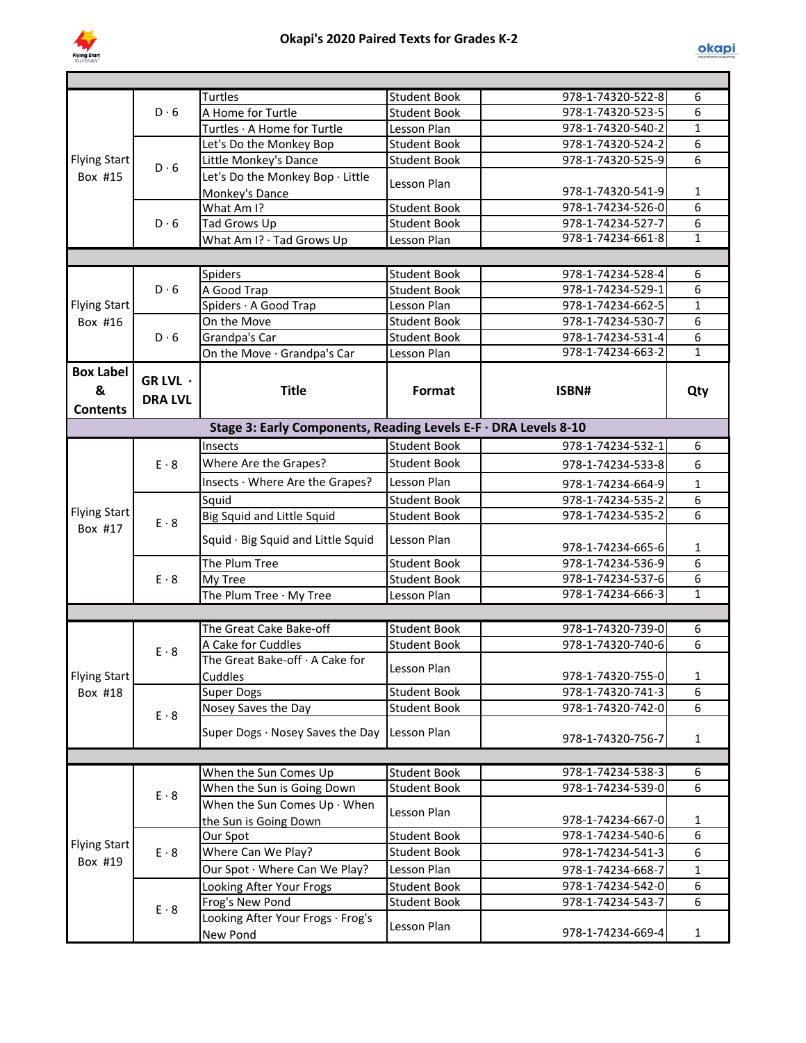

|                     |                | <b>Turtles</b>                                                   | <b>Student Book</b>                        | 978-1-74320-522-8                      | 6                 |
|---------------------|----------------|------------------------------------------------------------------|--------------------------------------------|----------------------------------------|-------------------|
|                     | D.6            | A Home for Turtle                                                | <b>Student Book</b>                        | 978-1-74320-523-5                      | 6                 |
|                     |                | Turtles · A Home for Turtle                                      | Lesson Plan                                | 978-1-74320-540-2                      | $\mathbf{1}$      |
|                     |                | Let's Do the Monkey Bop                                          | <b>Student Book</b>                        | 978-1-74320-524-2                      | $\overline{6}$    |
| <b>Flying Start</b> | $D \cdot 6$    | Little Monkey's Dance                                            | <b>Student Book</b>                        | 978-1-74320-525-9                      | 6                 |
| Box #15             |                | Let's Do the Monkey Bop · Little                                 | Lesson Plan                                |                                        |                   |
|                     |                | Monkey's Dance                                                   |                                            | 978-1-74320-541-9                      | 1                 |
|                     |                | What Am I?                                                       | <b>Student Book</b>                        | 978-1-74234-526-0                      | 6                 |
|                     | D.6            | Tad Grows Up                                                     | <b>Student Book</b>                        | 978-1-74234-527-7                      | $\overline{6}$    |
|                     |                | What Am I? · Tad Grows Up                                        | Lesson Plan                                | 978-1-74234-661-8                      | $\mathbf{1}$      |
|                     |                |                                                                  |                                            |                                        |                   |
|                     |                | Spiders                                                          | <b>Student Book</b>                        | 978-1-74234-528-4                      | 6                 |
|                     | $D \cdot 6$    | A Good Trap                                                      | <b>Student Book</b>                        | 978-1-74234-529-1                      | 6                 |
| <b>Flying Start</b> |                | Spiders · A Good Trap                                            | Lesson Plan                                | 978-1-74234-662-5                      | $\mathbf{1}$      |
| Box #16             |                | On the Move                                                      | <b>Student Book</b>                        | 978-1-74234-530-7                      | 6                 |
|                     | $D \cdot 6$    | Grandpa's Car                                                    | <b>Student Book</b>                        | 978-1-74234-531-4                      | 6                 |
|                     |                | On the Move · Grandpa's Car                                      | Lesson Plan                                | 978-1-74234-663-2                      | $\mathbf{1}$      |
| <b>Box Label</b>    | GR LVL $\cdot$ |                                                                  |                                            |                                        |                   |
| &                   |                | <b>Title</b>                                                     | Format                                     | ISBN#                                  | Qty               |
| <b>Contents</b>     | <b>DRA LVL</b> |                                                                  |                                            |                                        |                   |
|                     |                | Stage 3: Early Components, Reading Levels E-F · DRA Levels 8-10  |                                            |                                        |                   |
|                     |                | Insects                                                          | <b>Student Book</b>                        | 978-1-74234-532-1                      | $\overline{6}$    |
|                     |                |                                                                  |                                            |                                        |                   |
|                     | $E \cdot 8$    | Where Are the Grapes?                                            | <b>Student Book</b>                        | 978-1-74234-533-8                      | 6                 |
|                     |                | Insects · Where Are the Grapes?                                  | Lesson Plan                                | 978-1-74234-664-9                      | $\mathbf{1}$      |
|                     | $E \cdot 8$    | Squid                                                            | <b>Student Book</b>                        | 978-1-74234-535-2                      | 6                 |
| <b>Flying Start</b> |                | Big Squid and Little Squid                                       | <b>Student Book</b>                        | 978-1-74234-535-2                      | $\overline{6}$    |
| Box #17             |                | Squid · Big Squid and Little Squid                               | Lesson Plan                                | 978-1-74234-665-6                      | 1                 |
|                     |                | The Plum Tree                                                    | <b>Student Book</b>                        | 978-1-74234-536-9                      | $\overline{6}$    |
|                     | $E \cdot 8$    | My Tree                                                          | <b>Student Book</b>                        | 978-1-74234-537-6                      | 6                 |
|                     |                | The Plum Tree · My Tree                                          | Lesson Plan                                | 978-1-74234-666-3                      | $\mathbf{1}$      |
|                     |                |                                                                  |                                            |                                        |                   |
|                     |                | The Great Cake Bake-off                                          | <b>Student Book</b>                        | 978-1-74320-739-0                      | 6                 |
|                     |                | A Cake for Cuddles                                               | <b>Student Book</b>                        | 978-1-74320-740-6                      | 6                 |
|                     | $E \cdot 8$    | The Great Bake-off · A Cake for                                  |                                            |                                        |                   |
| Flying Start        |                | Cuddles                                                          | Lesson Plan                                | 978-1-74320-755-0                      | $\mathbf{1}$      |
| Box #18             |                | Super Dogs                                                       | <b>Student Book</b>                        | 978-1-74320-741-3                      | 6                 |
|                     | $E \cdot 8$    | Nosey Saves the Day                                              | Student Book                               | 978-1-74320-742-0                      | 6                 |
|                     |                | Super Dogs · Nosey Saves the Day                                 | Lesson Plan                                | 978-1-74320-756-7                      | $\mathbf{1}$      |
|                     |                |                                                                  |                                            |                                        |                   |
|                     |                |                                                                  |                                            | 978-1-74234-538-3                      |                   |
|                     |                | When the Sun Comes Up                                            | <b>Student Book</b><br><b>Student Book</b> | 978-1-74234-539-0                      | 6<br>6            |
|                     | $E \cdot 8$    | When the Sun is Going Down<br>When the Sun Comes $Up \cdot When$ |                                            |                                        |                   |
|                     |                |                                                                  | Lesson Plan                                |                                        |                   |
|                     |                | the Sun is Going Down<br>Our Spot                                | <b>Student Book</b>                        | 978-1-74234-667-0<br>978-1-74234-540-6 | $\mathbf{1}$<br>6 |
| <b>Flying Start</b> |                |                                                                  |                                            |                                        | 6                 |
| Box #19             | $E \cdot 8$    | Where Can We Play?                                               | <b>Student Book</b>                        | 978-1-74234-541-3                      |                   |
|                     |                | Our Spot · Where Can We Play?                                    | Lesson Plan                                | 978-1-74234-668-7                      | $\mathbf{1}$      |
|                     |                | Looking After Your Frogs                                         | <b>Student Book</b>                        | 978-1-74234-542-0                      | 6                 |
|                     | $E \cdot 8$    | Frog's New Pond                                                  | Student Book                               | 978-1-74234-543-7                      | 6                 |
|                     |                | Looking After Your Frogs · Frog's<br>New Pond                    | Lesson Plan                                | 978-1-74234-669-4                      | $\mathbf{1}$      |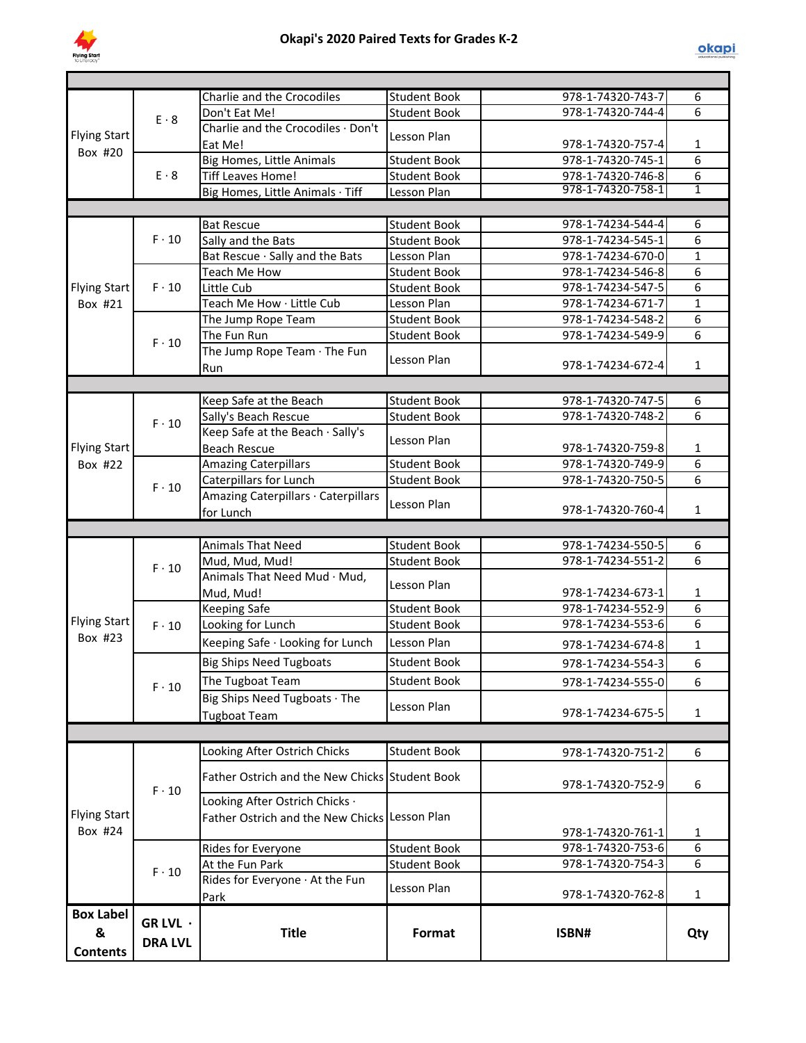

|                     |                            | Charlie and the Crocodiles                     | <b>Student Book</b> | 978-1-74320-743-7 | 6              |
|---------------------|----------------------------|------------------------------------------------|---------------------|-------------------|----------------|
|                     | $E \cdot 8$                | Don't Eat Me!                                  | <b>Student Book</b> | 978-1-74320-744-4 | 6              |
| <b>Flying Start</b> |                            | Charlie and the Crocodiles · Don't             | Lesson Plan         |                   |                |
| Box #20             |                            | Eat Me!                                        |                     | 978-1-74320-757-4 | 1              |
|                     |                            | <b>Big Homes, Little Animals</b>               | <b>Student Book</b> | 978-1-74320-745-1 | 6              |
|                     | $E \cdot 8$                | <b>Tiff Leaves Home!</b>                       | <b>Student Book</b> | 978-1-74320-746-8 | 6              |
|                     |                            | Big Homes, Little Animals · Tiff               | Lesson Plan         | 978-1-74320-758-1 | 1              |
|                     |                            |                                                |                     |                   |                |
|                     |                            | <b>Bat Rescue</b>                              | <b>Student Book</b> | 978-1-74234-544-4 | 6              |
|                     | $F \cdot 10$               | Sally and the Bats                             | <b>Student Book</b> | 978-1-74234-545-1 | 6              |
|                     |                            | Bat Rescue · Sally and the Bats                | Lesson Plan         | 978-1-74234-670-0 | $\mathbf{1}$   |
|                     |                            | Teach Me How                                   | <b>Student Book</b> | 978-1-74234-546-8 | 6              |
| <b>Flying Start</b> | $F \cdot 10$               | Little Cub                                     | <b>Student Book</b> | 978-1-74234-547-5 | 6              |
| Box #21             |                            | Teach Me How · Little Cub                      | Lesson Plan         | 978-1-74234-671-7 | $\mathbf{1}$   |
|                     |                            | The Jump Rope Team                             | <b>Student Book</b> | 978-1-74234-548-2 | 6              |
|                     |                            | The Fun Run                                    | <b>Student Book</b> | 978-1-74234-549-9 | 6              |
|                     | $F \cdot 10$               | The Jump Rope Team · The Fun                   |                     |                   |                |
|                     |                            | Run                                            | Lesson Plan         | 978-1-74234-672-4 | $\mathbf{1}$   |
|                     |                            |                                                |                     |                   |                |
|                     |                            | Keep Safe at the Beach                         | <b>Student Book</b> | 978-1-74320-747-5 | 6              |
|                     |                            | Sally's Beach Rescue                           | <b>Student Book</b> | 978-1-74320-748-2 | 6              |
|                     | $F \cdot 10$               | Keep Safe at the Beach · Sally's               |                     |                   |                |
| <b>Flying Start</b> |                            | <b>Beach Rescue</b>                            | Lesson Plan         | 978-1-74320-759-8 | 1              |
| Box #22             |                            | <b>Amazing Caterpillars</b>                    | <b>Student Book</b> | 978-1-74320-749-9 | $\overline{6}$ |
|                     |                            | Caterpillars for Lunch                         | <b>Student Book</b> | 978-1-74320-750-5 | $\overline{6}$ |
|                     | $F \cdot 10$               | Amazing Caterpillars · Caterpillars            |                     |                   |                |
|                     |                            | for Lunch                                      | Lesson Plan         | 978-1-74320-760-4 | $\mathbf{1}$   |
|                     |                            |                                                |                     |                   |                |
|                     |                            |                                                |                     |                   |                |
|                     |                            |                                                |                     |                   |                |
|                     |                            | <b>Animals That Need</b>                       | <b>Student Book</b> | 978-1-74234-550-5 | 6              |
|                     | $F \cdot 10$               | Mud, Mud, Mud!                                 | <b>Student Book</b> | 978-1-74234-551-2 | 6              |
|                     |                            | Animals That Need Mud · Mud,                   | Lesson Plan         |                   |                |
|                     |                            | Mud, Mud!                                      |                     | 978-1-74234-673-1 | 1              |
|                     |                            | <b>Keeping Safe</b>                            | <b>Student Book</b> | 978-1-74234-552-9 | 6              |
| <b>Flying Start</b> | $F \cdot 10$               | Looking for Lunch                              | <b>Student Book</b> | 978-1-74234-553-6 | 6              |
| Box #23             |                            | Keeping Safe · Looking for Lunch               | Lesson Plan         | 978-1-74234-674-8 | $\mathbf{1}$   |
|                     |                            | <b>Big Ships Need Tugboats</b>                 | <b>Student Book</b> | 978-1-74234-554-3 | 6              |
|                     |                            | The Tugboat Team                               | <b>Student Book</b> | 978-1-74234-555-0 | 6              |
|                     | $F \cdot 10$               | Big Ships Need Tugboats · The                  |                     |                   |                |
|                     |                            | <b>Tugboat Team</b>                            | Lesson Plan         | 978-1-74234-675-5 | $\mathbf{1}$   |
|                     |                            |                                                |                     |                   |                |
|                     |                            |                                                |                     |                   |                |
|                     |                            | Looking After Ostrich Chicks                   | <b>Student Book</b> | 978-1-74320-751-2 | 6              |
|                     |                            | Father Ostrich and the New Chicks Student Book |                     |                   |                |
|                     | $F \cdot 10$               |                                                |                     | 978-1-74320-752-9 | 6              |
|                     |                            | Looking After Ostrich Chicks ·                 |                     |                   |                |
| <b>Flying Start</b> |                            | Father Ostrich and the New Chicks Lesson Plan  |                     |                   |                |
| Box #24             |                            |                                                |                     | 978-1-74320-761-1 | 1              |
|                     |                            | Rides for Everyone                             | <b>Student Book</b> | 978-1-74320-753-6 | 6              |
|                     | $F \cdot 10$               | At the Fun Park                                | <b>Student Book</b> | 978-1-74320-754-3 | 6              |
|                     |                            | Rides for Everyone · At the Fun                | Lesson Plan         |                   |                |
|                     |                            | Park                                           |                     | 978-1-74320-762-8 | $\mathbf{1}$   |
| <b>Box Label</b>    |                            |                                                |                     |                   |                |
| &                   | GR LVL ·<br><b>DRA LVL</b> | <b>Title</b>                                   | Format              | ISBN#             | Qty            |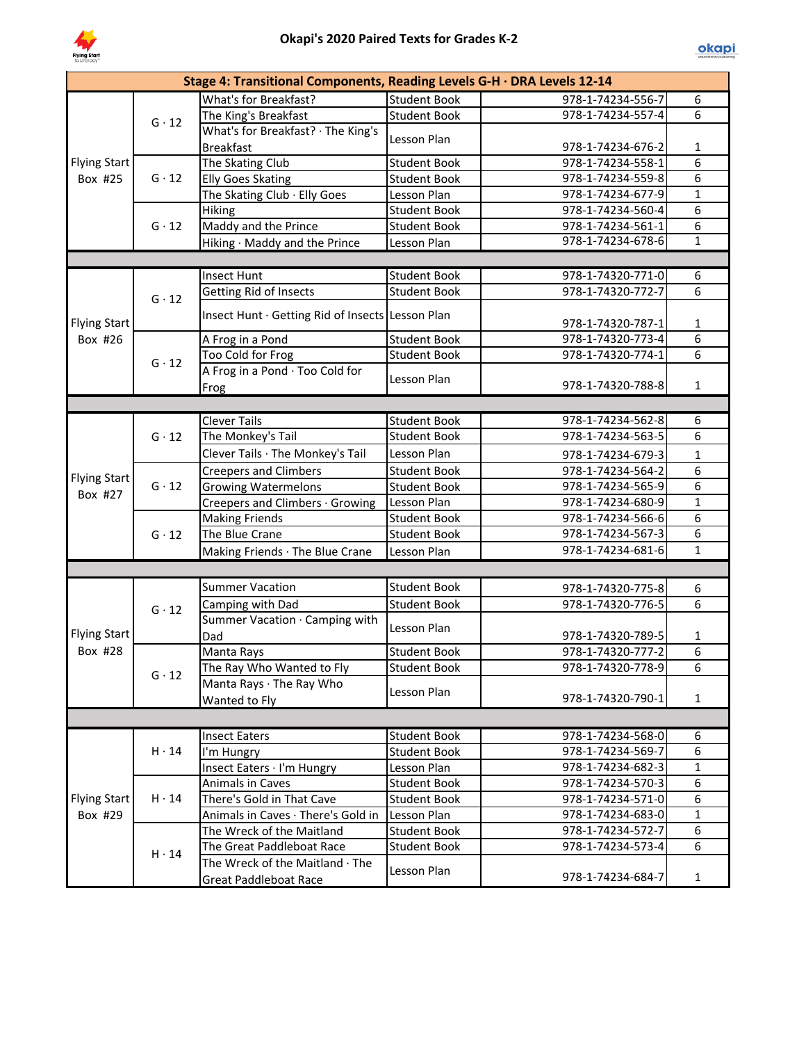

|                     |              | Stage 4: Transitional Components, Reading Levels G-H · DRA Levels 12-14 |                     |                   |                 |
|---------------------|--------------|-------------------------------------------------------------------------|---------------------|-------------------|-----------------|
|                     |              | What's for Breakfast?                                                   | <b>Student Book</b> | 978-1-74234-556-7 | 6               |
|                     | $G \cdot 12$ | The King's Breakfast                                                    | <b>Student Book</b> | 978-1-74234-557-4 | 6               |
|                     |              | What's for Breakfast? · The King's                                      | Lesson Plan         |                   |                 |
|                     |              | <b>Breakfast</b>                                                        |                     | 978-1-74234-676-2 | 1               |
| Flying Start        |              | The Skating Club                                                        | <b>Student Book</b> | 978-1-74234-558-1 | 6               |
| Box #25             | $G \cdot 12$ | <b>Elly Goes Skating</b>                                                | <b>Student Book</b> | 978-1-74234-559-8 | $\overline{6}$  |
|                     |              | The Skating Club · Elly Goes                                            | Lesson Plan         | 978-1-74234-677-9 | $\mathbf{1}$    |
|                     |              | Hiking                                                                  | <b>Student Book</b> | 978-1-74234-560-4 | $\overline{6}$  |
|                     | $G \cdot 12$ | Maddy and the Prince                                                    | <b>Student Book</b> | 978-1-74234-561-1 | 6               |
|                     |              | Hiking · Maddy and the Prince                                           | Lesson Plan         | 978-1-74234-678-6 | $\mathbf{1}$    |
|                     |              |                                                                         |                     |                   |                 |
|                     |              | <b>Insect Hunt</b>                                                      | <b>Student Book</b> | 978-1-74320-771-0 | 6               |
|                     | $G \cdot 12$ | Getting Rid of Insects                                                  | <b>Student Book</b> | 978-1-74320-772-7 | 6               |
| <b>Flying Start</b> |              | Insect Hunt · Getting Rid of Insects Lesson Plan                        |                     | 978-1-74320-787-1 | 1               |
| Box #26             |              | A Frog in a Pond                                                        | <b>Student Book</b> | 978-1-74320-773-4 | 6               |
|                     | $G \cdot 12$ | Too Cold for Frog                                                       | <b>Student Book</b> | 978-1-74320-774-1 | 6               |
|                     |              | A Frog in a Pond · Too Cold for<br>Frog                                 | Lesson Plan         | 978-1-74320-788-8 | $\mathbf{1}$    |
|                     |              |                                                                         |                     |                   |                 |
|                     |              | <b>Clever Tails</b>                                                     | <b>Student Book</b> | 978-1-74234-562-8 | 6               |
|                     | $G \cdot 12$ | The Monkey's Tail                                                       | <b>Student Book</b> | 978-1-74234-563-5 | $\overline{6}$  |
|                     |              | Clever Tails · The Monkey's Tail                                        | Lesson Plan         | 978-1-74234-679-3 | $\mathbf{1}$    |
|                     | $G \cdot 12$ | <b>Creepers and Climbers</b>                                            | <b>Student Book</b> | 978-1-74234-564-2 | 6               |
| <b>Flying Start</b> |              | <b>Growing Watermelons</b>                                              | <b>Student Book</b> | 978-1-74234-565-9 | $\overline{6}$  |
| Box #27             |              | Creepers and Climbers · Growing                                         | Lesson Plan         | 978-1-74234-680-9 | $\mathbf{1}$    |
|                     |              | <b>Making Friends</b>                                                   | <b>Student Book</b> | 978-1-74234-566-6 | $\overline{6}$  |
|                     | $G \cdot 12$ | The Blue Crane                                                          | <b>Student Book</b> | 978-1-74234-567-3 | $\overline{6}$  |
|                     |              | Making Friends · The Blue Crane                                         | Lesson Plan         | 978-1-74234-681-6 | $\mathbf{1}$    |
|                     |              |                                                                         |                     |                   |                 |
|                     |              | <b>Summer Vacation</b>                                                  | <b>Student Book</b> | 978-1-74320-775-8 | 6               |
|                     | $G \cdot 12$ | Camping with Dad                                                        | <b>Student Book</b> | 978-1-74320-776-5 | $6 \overline{}$ |
| <b>Flying Start</b> |              | Summer Vacation · Camping with<br>Dad                                   | Lesson Plan         | 978-1-74320-789-5 | 1               |
| Box #28             |              | Manta Rays                                                              | <b>Student Book</b> | 978-1-74320-777-2 | $\overline{6}$  |
|                     |              | The Ray Who Wanted to Fly                                               | <b>Student Book</b> | 978-1-74320-778-9 | 6               |
|                     | $G \cdot 12$ | Manta Rays · The Ray Who                                                |                     |                   |                 |
|                     |              | Wanted to Fly                                                           | Lesson Plan         | 978-1-74320-790-1 | $\mathbf{1}$    |
|                     |              |                                                                         |                     |                   |                 |
|                     |              | <b>Insect Eaters</b>                                                    | Student Book        | 978-1-74234-568-0 | 6               |
|                     | $H \cdot 14$ | I'm Hungry                                                              | <b>Student Book</b> | 978-1-74234-569-7 | 6               |
|                     |              | Insect Eaters · I'm Hungry                                              | Lesson Plan         | 978-1-74234-682-3 | $\mathbf{1}$    |
|                     |              | Animals in Caves                                                        | <b>Student Book</b> | 978-1-74234-570-3 | 6               |
| <b>Flying Start</b> | $H \cdot 14$ | There's Gold in That Cave                                               | <b>Student Book</b> | 978-1-74234-571-0 | 6               |
| Box #29             |              | Animals in Caves · There's Gold in                                      | Lesson Plan         | 978-1-74234-683-0 | $\mathbf{1}$    |
|                     |              | The Wreck of the Maitland                                               | <b>Student Book</b> | 978-1-74234-572-7 | 6               |
|                     |              | The Great Paddleboat Race                                               | <b>Student Book</b> | 978-1-74234-573-4 | 6               |
|                     | $H \cdot 14$ | The Wreck of the Maitland · The<br><b>Great Paddleboat Race</b>         | Lesson Plan         | 978-1-74234-684-7 | $\mathbf{1}$    |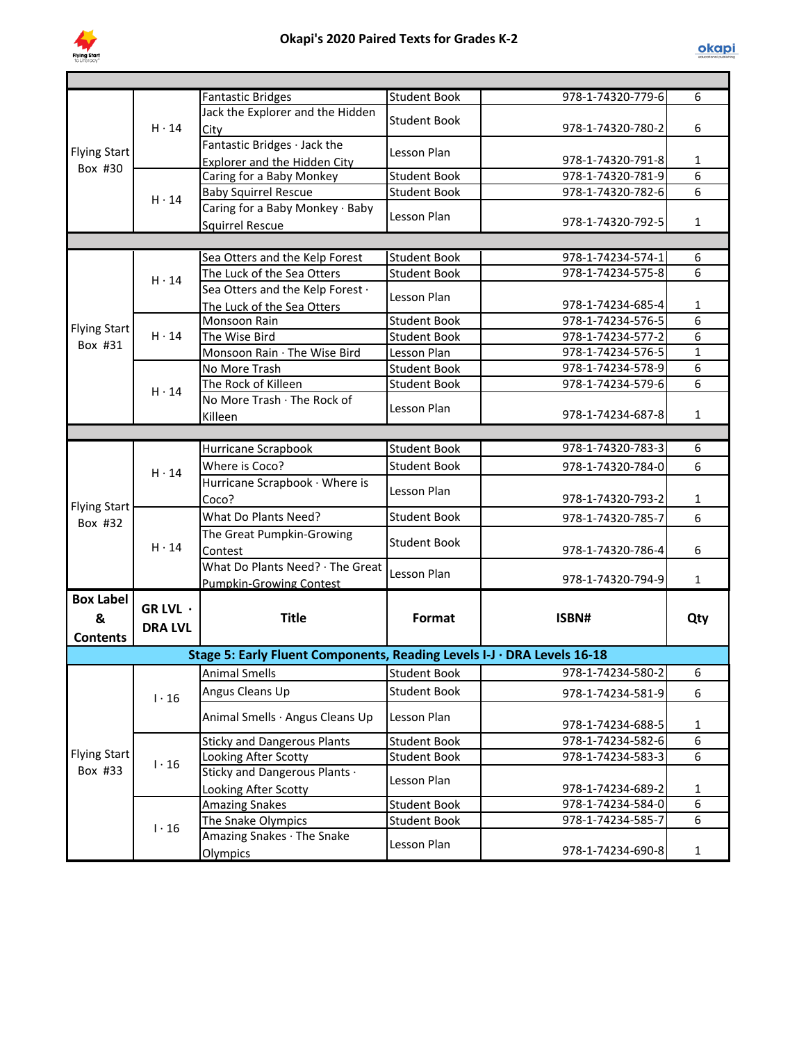

|                     |                | <b>Fantastic Bridges</b>                                                | <b>Student Book</b> | 978-1-74320-779-6                      | 6                 |
|---------------------|----------------|-------------------------------------------------------------------------|---------------------|----------------------------------------|-------------------|
|                     |                | Jack the Explorer and the Hidden                                        | <b>Student Book</b> |                                        |                   |
|                     | $H \cdot 14$   | City                                                                    |                     | 978-1-74320-780-2                      | 6                 |
| <b>Flying Start</b> |                | Fantastic Bridges · Jack the                                            | Lesson Plan         |                                        |                   |
| Box #30             |                | Explorer and the Hidden City                                            |                     | 978-1-74320-791-8                      | 1                 |
|                     |                | Caring for a Baby Monkey                                                | <b>Student Book</b> | 978-1-74320-781-9                      | 6                 |
|                     | $H \cdot 14$   | <b>Baby Squirrel Rescue</b>                                             | <b>Student Book</b> | 978-1-74320-782-6                      | 6                 |
|                     |                | Caring for a Baby Monkey · Baby                                         | Lesson Plan         |                                        |                   |
|                     |                | <b>Squirrel Rescue</b>                                                  |                     | 978-1-74320-792-5                      | $\mathbf{1}$      |
|                     |                |                                                                         |                     |                                        |                   |
|                     |                | Sea Otters and the Kelp Forest                                          | <b>Student Book</b> | 978-1-74234-574-1                      | 6                 |
|                     | $H \cdot 14$   | The Luck of the Sea Otters                                              | <b>Student Book</b> | 978-1-74234-575-8                      | 6                 |
|                     |                | Sea Otters and the Kelp Forest ·                                        | Lesson Plan         |                                        |                   |
|                     |                | The Luck of the Sea Otters                                              |                     | 978-1-74234-685-4                      | 1                 |
| <b>Flying Start</b> |                | Monsoon Rain                                                            | <b>Student Book</b> | 978-1-74234-576-5                      | 6                 |
| Box #31             | $H \cdot 14$   | The Wise Bird                                                           | <b>Student Book</b> | 978-1-74234-577-2                      | 6                 |
|                     |                | Monsoon Rain · The Wise Bird                                            | Lesson Plan         | 978-1-74234-576-5                      | $\mathbf{1}$      |
|                     |                | No More Trash                                                           | <b>Student Book</b> | 978-1-74234-578-9                      | 6                 |
|                     | $H \cdot 14$   | The Rock of Killeen                                                     | <b>Student Book</b> | 978-1-74234-579-6                      | 6                 |
|                     |                | No More Trash · The Rock of                                             | Lesson Plan         |                                        |                   |
|                     |                | Killeen                                                                 |                     | 978-1-74234-687-8                      | 1                 |
|                     |                |                                                                         |                     |                                        |                   |
|                     | $H \cdot 14$   | Hurricane Scrapbook                                                     | <b>Student Book</b> | 978-1-74320-783-3                      | 6                 |
|                     |                | Where is Coco?                                                          | <b>Student Book</b> | 978-1-74320-784-0                      | 6                 |
|                     |                | Hurricane Scrapbook · Where is                                          | Lesson Plan         |                                        |                   |
| <b>Flying Start</b> |                | Coco?                                                                   |                     | 978-1-74320-793-2                      | 1                 |
| Box #32             | $H \cdot 14$   | What Do Plants Need?                                                    | <b>Student Book</b> | 978-1-74320-785-7                      | 6                 |
|                     |                | The Great Pumpkin-Growing                                               | Student Book        |                                        |                   |
|                     |                | Contest                                                                 |                     | 978-1-74320-786-4                      | 6                 |
|                     |                | What Do Plants Need? · The Great                                        | Lesson Plan         |                                        |                   |
|                     |                | Pumpkin-Growing Contest                                                 |                     | 978-1-74320-794-9                      | $\mathbf{1}$      |
| <b>Box Label</b>    | GR LVL ·       |                                                                         |                     |                                        |                   |
| &                   |                | <b>Title</b>                                                            | Format              | ISBN#                                  | Qty               |
| <b>Contents</b>     | <b>DRA LVL</b> |                                                                         |                     |                                        |                   |
|                     |                | Stage 5: Early Fluent Components, Reading Levels I-J · DRA Levels 16-18 |                     |                                        |                   |
|                     |                | <b>Animal Smells</b>                                                    | <b>Student Book</b> | 978-1-74234-580-2                      | 6                 |
|                     |                | Angus Cleans Up                                                         | <b>Student Book</b> |                                        |                   |
|                     | $1 \cdot 16$   |                                                                         |                     | 978-1-74234-581-9                      | 6                 |
|                     |                | Animal Smells · Angus Cleans Up                                         | Lesson Plan         |                                        |                   |
|                     |                |                                                                         |                     | 978-1-74234-688-5                      | $\mathbf 1$       |
| <b>Flying Start</b> |                | <b>Sticky and Dangerous Plants</b>                                      | Student Book        | 978-1-74234-582-6                      | 6                 |
| Box #33             | $1 \cdot 16$   | Looking After Scotty                                                    | <b>Student Book</b> | 978-1-74234-583-3                      | 6                 |
|                     |                | Sticky and Dangerous Plants .                                           | Lesson Plan         |                                        |                   |
|                     |                | Looking After Scotty                                                    |                     | 978-1-74234-689-2                      | $\mathbf{1}$<br>6 |
|                     |                | <b>Amazing Snakes</b>                                                   | <b>Student Book</b> | 978-1-74234-584-0<br>978-1-74234-585-7 | 6                 |
|                     | $1 \cdot 16$   | The Snake Olympics                                                      | <b>Student Book</b> |                                        |                   |
|                     |                | Amazing Snakes · The Snake                                              | Lesson Plan         | 978-1-74234-690-8                      | $\mathbf{1}$      |
|                     |                | Olympics                                                                |                     |                                        |                   |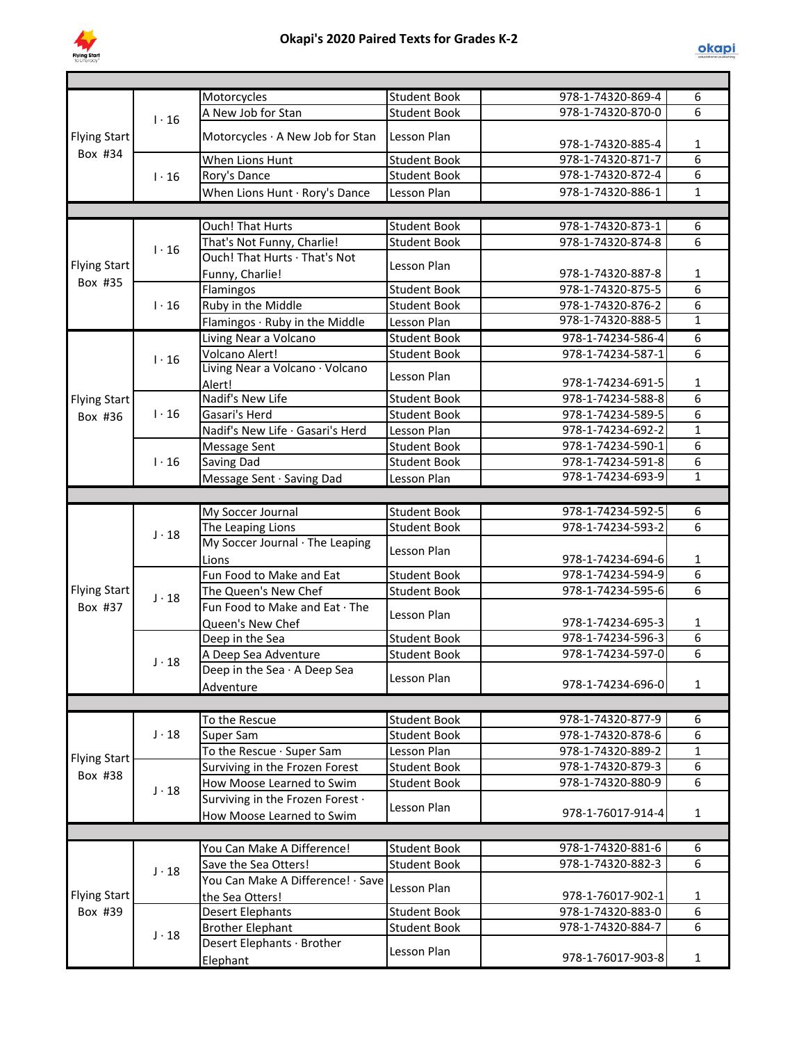

|                     |              | Motorcycles                       | <b>Student Book</b> | 978-1-74320-869-4                      | 6              |
|---------------------|--------------|-----------------------------------|---------------------|----------------------------------------|----------------|
|                     | $1 \cdot 16$ | A New Job for Stan                | <b>Student Book</b> | 978-1-74320-870-0                      | 6              |
| <b>Flying Start</b> |              | Motorcycles · A New Job for Stan  | Lesson Plan         |                                        |                |
|                     |              |                                   |                     | 978-1-74320-885-4                      | 1              |
| Box #34             |              | When Lions Hunt                   | <b>Student Book</b> | 978-1-74320-871-7                      | $\overline{6}$ |
|                     | $1 \cdot 16$ | Rory's Dance                      | <b>Student Book</b> | 978-1-74320-872-4                      | 6              |
|                     |              | When Lions Hunt · Rory's Dance    | Lesson Plan         | 978-1-74320-886-1                      | $\mathbf{1}$   |
|                     |              |                                   |                     |                                        |                |
|                     |              | <b>Ouch! That Hurts</b>           | <b>Student Book</b> | 978-1-74320-873-1                      | 6              |
|                     |              | That's Not Funny, Charlie!        | <b>Student Book</b> | 978-1-74320-874-8                      | 6              |
|                     | $1 \cdot 16$ | Ouch! That Hurts · That's Not     |                     |                                        |                |
| <b>Flying Start</b> |              | Funny, Charlie!                   | Lesson Plan         | 978-1-74320-887-8                      | $\mathbf{1}$   |
| Box #35             |              | Flamingos                         | <b>Student Book</b> | 978-1-74320-875-5                      | $\overline{6}$ |
|                     | $1 \cdot 16$ | Ruby in the Middle                | <b>Student Book</b> | 978-1-74320-876-2                      | 6              |
|                     |              | Flamingos · Ruby in the Middle    | Lesson Plan         | 978-1-74320-888-5                      | $\mathbf{1}$   |
|                     |              | Living Near a Volcano             |                     | 978-1-74234-586-4                      | $\overline{6}$ |
|                     |              | Volcano Alert!                    | <b>Student Book</b> | 978-1-74234-587-1                      | 6              |
|                     | $1 \cdot 16$ | Living Near a Volcano · Volcano   | <b>Student Book</b> |                                        |                |
|                     |              | Alert!                            | Lesson Plan         | 978-1-74234-691-5                      | $\mathbf{1}$   |
| <b>Flying Start</b> |              | Nadif's New Life                  | <b>Student Book</b> | 978-1-74234-588-8                      | 6              |
|                     | $1 \cdot 16$ | Gasari's Herd                     | <b>Student Book</b> | 978-1-74234-589-5                      | 6              |
| Box #36             |              | Nadif's New Life · Gasari's Herd  | Lesson Plan         | 978-1-74234-692-2                      | $\mathbf{1}$   |
|                     |              |                                   | <b>Student Book</b> | 978-1-74234-590-1                      | 6              |
|                     |              | Message Sent                      |                     |                                        | 6              |
|                     | $1 \cdot 16$ | Saving Dad                        | <b>Student Book</b> | 978-1-74234-591-8<br>978-1-74234-693-9 | $\mathbf{1}$   |
|                     |              | Message Sent · Saving Dad         | Lesson Plan         |                                        |                |
|                     |              |                                   |                     |                                        |                |
|                     |              | My Soccer Journal                 | <b>Student Book</b> | 978-1-74234-592-5                      | 6              |
|                     | $J \cdot 18$ | The Leaping Lions                 | <b>Student Book</b> | 978-1-74234-593-2                      | 6              |
|                     |              | My Soccer Journal · The Leaping   | Lesson Plan         |                                        |                |
|                     |              | Lions                             |                     | 978-1-74234-694-6                      | $\mathbf{1}$   |
|                     |              | Fun Food to Make and Eat          | <b>Student Book</b> | 978-1-74234-594-9                      | $\overline{6}$ |
| <b>Flying Start</b> | $J \cdot 18$ | The Queen's New Chef              | <b>Student Book</b> | 978-1-74234-595-6                      | $\overline{6}$ |
| Box #37             |              | Fun Food to Make and Eat · The    | Lesson Plan         |                                        |                |
|                     |              | Queen's New Chef                  |                     | 978-1-74234-695-3                      | 1              |
|                     |              | Deep in the Sea                   | <b>Student Book</b> | 978-1-74234-596-3                      | 6              |
|                     | $J \cdot 18$ | A Deep Sea Adventure              | <b>Student Book</b> | 978-1-74234-597-0                      | 6              |
|                     |              | Deep in the Sea · A Deep Sea      | Lesson Plan         |                                        |                |
|                     |              | Adventure                         |                     | 978-1-74234-696-0                      | 1              |
|                     |              |                                   |                     |                                        |                |
|                     |              | To the Rescue                     | <b>Student Book</b> | 978-1-74320-877-9                      | 6              |
|                     | $J \cdot 18$ | Super Sam                         | <b>Student Book</b> | 978-1-74320-878-6                      | $\overline{6}$ |
|                     |              | To the Rescue · Super Sam         | Lesson Plan         | 978-1-74320-889-2                      | $\mathbf 1$    |
| <b>Flying Start</b> |              | Surviving in the Frozen Forest    | <b>Student Book</b> | 978-1-74320-879-3                      | 6              |
| Box #38             |              | How Moose Learned to Swim         | <b>Student Book</b> | 978-1-74320-880-9                      | $\overline{6}$ |
|                     | $J \cdot 18$ | Surviving in the Frozen Forest .  |                     |                                        |                |
|                     |              | How Moose Learned to Swim         | Lesson Plan         | 978-1-76017-914-4                      | $\mathbf{1}$   |
|                     |              |                                   |                     |                                        |                |
|                     |              | You Can Make A Difference!        | <b>Student Book</b> | 978-1-74320-881-6                      | 6              |
|                     |              | Save the Sea Otters!              | <b>Student Book</b> | 978-1-74320-882-3                      | 6              |
|                     | $J \cdot 18$ | You Can Make A Difference! · Save |                     |                                        |                |
| <b>Flying Start</b> |              | the Sea Otters!                   | Lesson Plan         | 978-1-76017-902-1                      | 1              |
| Box #39             |              | <b>Desert Elephants</b>           | <b>Student Book</b> | 978-1-74320-883-0                      | 6              |
|                     |              | <b>Brother Elephant</b>           | <b>Student Book</b> | 978-1-74320-884-7                      | 6              |
|                     | $J \cdot 18$ | Desert Elephants · Brother        |                     |                                        |                |
|                     |              | Elephant                          | Lesson Plan         | 978-1-76017-903-8                      | $\mathbf{1}$   |
|                     |              |                                   |                     |                                        |                |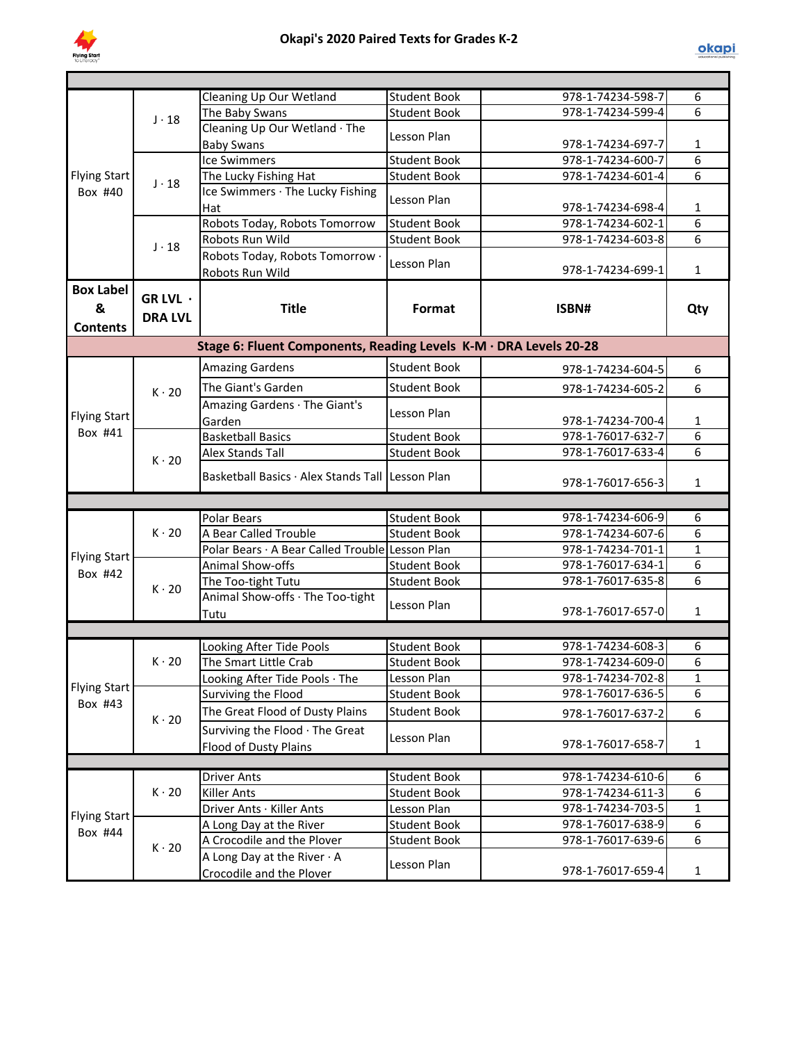

|                                          |                            | Cleaning Up Our Wetland                                           | <b>Student Book</b> | 978-1-74234-598-7                      | 6            |
|------------------------------------------|----------------------------|-------------------------------------------------------------------|---------------------|----------------------------------------|--------------|
|                                          | $J \cdot 18$               | The Baby Swans                                                    | <b>Student Book</b> | 978-1-74234-599-4                      | 6            |
|                                          |                            | Cleaning Up Our Wetland · The                                     | Lesson Plan         |                                        |              |
|                                          |                            | <b>Baby Swans</b>                                                 |                     | 978-1-74234-697-7                      | 1            |
|                                          |                            | <b>Ice Swimmers</b>                                               | <b>Student Book</b> | 978-1-74234-600-7                      | 6            |
| <b>Flying Start</b><br>Box #40           | $J \cdot 18$               | The Lucky Fishing Hat                                             | <b>Student Book</b> | 978-1-74234-601-4                      | 6            |
|                                          |                            | Ice Swimmers · The Lucky Fishing                                  | Lesson Plan         |                                        |              |
|                                          |                            | Hat                                                               |                     | 978-1-74234-698-4                      | 1            |
|                                          |                            | Robots Today, Robots Tomorrow                                     | <b>Student Book</b> | 978-1-74234-602-1<br>978-1-74234-603-8 | 6<br>6       |
|                                          | $J \cdot 18$               | Robots Run Wild                                                   | <b>Student Book</b> |                                        |              |
|                                          |                            | Robots Today, Robots Tomorrow .<br>Robots Run Wild                | Lesson Plan         | 978-1-74234-699-1                      | $\mathbf{1}$ |
| <b>Box Label</b><br>&<br><b>Contents</b> | GR LVL ·<br><b>DRA LVL</b> | <b>Title</b>                                                      | Format              | ISBN#                                  | Qty          |
|                                          |                            | Stage 6: Fluent Components, Reading Levels K-M · DRA Levels 20-28 |                     |                                        |              |
|                                          |                            | <b>Amazing Gardens</b>                                            | <b>Student Book</b> | 978-1-74234-604-5                      | 6            |
|                                          |                            | The Giant's Garden                                                | <b>Student Book</b> | 978-1-74234-605-2                      | 6            |
|                                          | $K \cdot 20$               | Amazing Gardens · The Giant's                                     |                     |                                        |              |
| <b>Flying Start</b>                      |                            | Garden                                                            | Lesson Plan         | 978-1-74234-700-4                      | $\mathbf 1$  |
| Box #41                                  | $K \cdot 20$               | <b>Basketball Basics</b>                                          | <b>Student Book</b> | 978-1-76017-632-7                      | 6            |
|                                          |                            | <b>Alex Stands Tall</b>                                           | <b>Student Book</b> | 978-1-76017-633-4                      | 6            |
|                                          |                            |                                                                   |                     |                                        |              |
|                                          |                            | Basketball Basics · Alex Stands Tall Lesson Plan                  |                     | 978-1-76017-656-3                      | 1            |
|                                          |                            |                                                                   |                     |                                        |              |
|                                          | $K \cdot 20$               | <b>Polar Bears</b>                                                | <b>Student Book</b> | 978-1-74234-606-9                      | 6            |
|                                          |                            | A Bear Called Trouble                                             | <b>Student Book</b> | 978-1-74234-607-6                      | 6            |
| <b>Flying Start</b>                      |                            | Polar Bears · A Bear Called Trouble Lesson Plan                   |                     | 978-1-74234-701-1                      | $\mathbf{1}$ |
| Box #42                                  | $K \cdot 20$               | Animal Show-offs                                                  | <b>Student Book</b> | 978-1-76017-634-1                      | 6            |
|                                          |                            | The Too-tight Tutu                                                | <b>Student Book</b> | 978-1-76017-635-8                      | 6            |
|                                          |                            | Animal Show-offs · The Too-tight                                  | Lesson Plan         |                                        |              |
|                                          |                            | Tutu                                                              |                     | 978-1-76017-657-0                      | $\mathbf 1$  |
|                                          |                            |                                                                   |                     |                                        |              |
|                                          |                            | Looking After Tide Pools                                          | <b>Student Book</b> | 978-1-74234-608-3                      | 6            |
|                                          | $K \cdot 20$               | The Smart Little Crab                                             | <b>Student Book</b> | 978-1-74234-609-0                      | 6            |
| <b>Flying Start</b>                      |                            | Looking After Tide Pools · The                                    | Lesson Plan         | 978-1-74234-702-8                      | 1            |
|                                          |                            | Surviving the Flood                                               | <b>Student Book</b> | 978-1-76017-636-5                      | 6            |
| Box #43                                  | $K \cdot 20$               | The Great Flood of Dusty Plains                                   | <b>Student Book</b> | 978-1-76017-637-2                      | 6            |
|                                          |                            | Surviving the Flood · The Great                                   |                     |                                        |              |
|                                          |                            | <b>Flood of Dusty Plains</b>                                      | Lesson Plan         | 978-1-76017-658-7                      | $\mathbf{1}$ |
|                                          |                            |                                                                   |                     |                                        |              |
|                                          |                            | <b>Driver Ants</b>                                                | <b>Student Book</b> | 978-1-74234-610-6                      | 6            |
|                                          | $K \cdot 20$               | <b>Killer Ants</b>                                                | <b>Student Book</b> | 978-1-74234-611-3                      | 6            |
| <b>Flying Start</b>                      |                            | Driver Ants · Killer Ants                                         | Lesson Plan         | 978-1-74234-703-5                      | $\mathbf{1}$ |
| Box #44                                  |                            | A Long Day at the River                                           | <b>Student Book</b> | 978-1-76017-638-9                      | 6            |
|                                          | $K \cdot 20$               | A Crocodile and the Plover                                        | <b>Student Book</b> | 978-1-76017-639-6                      | 6            |
|                                          |                            | A Long Day at the River $\cdot$ A                                 | Lesson Plan         |                                        |              |
|                                          |                            | Crocodile and the Plover                                          |                     | 978-1-76017-659-4                      | $\mathbf{1}$ |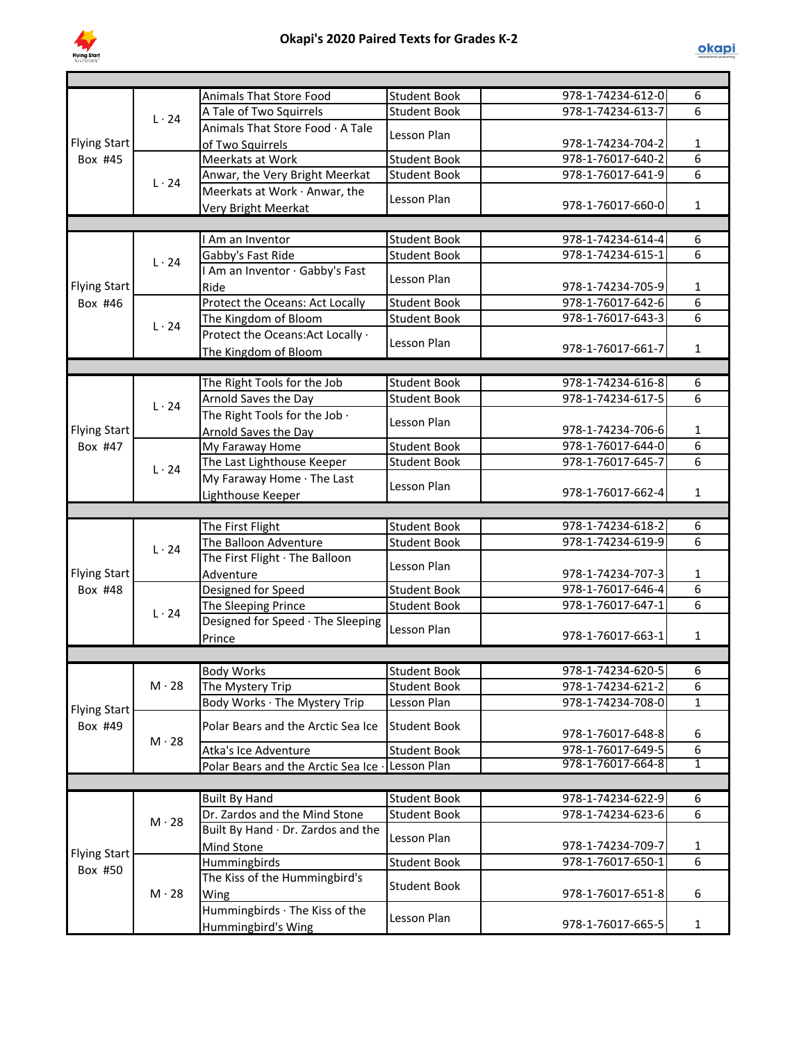

|                     |              | Animals That Store Food                              | <b>Student Book</b> | 978-1-74234-612-0 | 6              |
|---------------------|--------------|------------------------------------------------------|---------------------|-------------------|----------------|
|                     | $L \cdot 24$ | A Tale of Two Squirrels                              | <b>Student Book</b> | 978-1-74234-613-7 | 6              |
|                     |              | Animals That Store Food · A Tale                     | Lesson Plan         |                   |                |
| <b>Flying Start</b> |              | of Two Squirrels                                     |                     | 978-1-74234-704-2 | 1              |
| Box #45             |              | Meerkats at Work                                     | <b>Student Book</b> | 978-1-76017-640-2 | 6              |
|                     | $L \cdot 24$ | Anwar, the Very Bright Meerkat                       | <b>Student Book</b> | 978-1-76017-641-9 | 6              |
|                     |              | Meerkats at Work · Anwar, the                        | Lesson Plan         |                   |                |
|                     |              | Very Bright Meerkat                                  |                     | 978-1-76017-660-0 | $\mathbf{1}$   |
|                     |              |                                                      |                     |                   |                |
|                     |              | Am an Inventor                                       | <b>Student Book</b> | 978-1-74234-614-4 | 6              |
|                     | $L \cdot 24$ | Gabby's Fast Ride                                    | <b>Student Book</b> | 978-1-74234-615-1 | 6              |
|                     |              | I Am an Inventor · Gabby's Fast                      | Lesson Plan         |                   |                |
| <b>Flying Start</b> |              | Ride                                                 |                     | 978-1-74234-705-9 | 1              |
| Box #46             |              | Protect the Oceans: Act Locally                      | <b>Student Book</b> | 978-1-76017-642-6 | 6              |
|                     | $L \cdot 24$ | The Kingdom of Bloom                                 | <b>Student Book</b> | 978-1-76017-643-3 | 6              |
|                     |              | Protect the Oceans: Act Locally ·                    | Lesson Plan         |                   |                |
|                     |              | The Kingdom of Bloom                                 |                     | 978-1-76017-661-7 | $\mathbf{1}$   |
|                     |              |                                                      |                     |                   |                |
|                     |              | The Right Tools for the Job                          | <b>Student Book</b> | 978-1-74234-616-8 | 6              |
|                     | $L \cdot 24$ | Arnold Saves the Day                                 | <b>Student Book</b> | 978-1-74234-617-5 | 6              |
|                     |              | The Right Tools for the Job .                        | Lesson Plan         |                   |                |
| <b>Flying Start</b> |              | Arnold Saves the Day                                 |                     | 978-1-74234-706-6 | $\mathbf{1}$   |
| Box #47             |              | My Faraway Home                                      | <b>Student Book</b> | 978-1-76017-644-0 | 6              |
|                     | $L \cdot 24$ | The Last Lighthouse Keeper                           | <b>Student Book</b> | 978-1-76017-645-7 | $\overline{6}$ |
|                     |              | My Faraway Home · The Last                           | Lesson Plan         |                   |                |
|                     |              | Lighthouse Keeper                                    |                     | 978-1-76017-662-4 | $\mathbf{1}$   |
|                     |              |                                                      |                     |                   |                |
|                     |              | The First Flight                                     | <b>Student Book</b> | 978-1-74234-618-2 | 6              |
|                     | $L \cdot 24$ | The Balloon Adventure                                | <b>Student Book</b> | 978-1-74234-619-9 | 6              |
|                     |              | The First Flight · The Balloon                       | Lesson Plan         |                   |                |
| <b>Flying Start</b> |              | Adventure                                            |                     | 978-1-74234-707-3 | $\mathbf{1}$   |
| Box #48             |              | Designed for Speed                                   | <b>Student Book</b> | 978-1-76017-646-4 | 6              |
|                     | $L \cdot 24$ | The Sleeping Prince                                  | <b>Student Book</b> | 978-1-76017-647-1 | 6              |
|                     |              | Designed for Speed · The Sleeping                    | Lesson Plan         |                   |                |
|                     |              | Prince                                               |                     | 978-1-76017-663-1 | $\mathbf{1}$   |
|                     |              |                                                      |                     |                   |                |
|                     |              | <b>Body Works</b>                                    | <b>Student Book</b> | 978-1-74234-620-5 | 6              |
|                     | $M \cdot 28$ | The Mystery Trip                                     | <b>Student Book</b> | 978-1-74234-621-2 | 6              |
| <b>Flying Start</b> |              | Body Works · The Mystery Trip                        | Lesson Plan         | 978-1-74234-708-0 | $\mathbf{1}$   |
| Box #49             |              | Polar Bears and the Arctic Sea Ice                   | <b>Student Book</b> | 978-1-76017-648-8 | 6              |
|                     | $M \cdot 28$ | Atka's Ice Adventure                                 | <b>Student Book</b> | 978-1-76017-649-5 | 6              |
|                     |              | Polar Bears and the Arctic Sea Ice .                 | Lesson Plan         | 978-1-76017-664-8 | $\overline{1}$ |
|                     |              |                                                      |                     |                   |                |
|                     |              | <b>Built By Hand</b>                                 | <b>Student Book</b> | 978-1-74234-622-9 | 6              |
|                     |              | Dr. Zardos and the Mind Stone                        | <b>Student Book</b> | 978-1-74234-623-6 | 6              |
|                     | $M \cdot 28$ | Built By Hand · Dr. Zardos and the                   |                     |                   |                |
|                     |              | <b>Mind Stone</b>                                    | Lesson Plan         | 978-1-74234-709-7 | 1              |
| <b>Flying Start</b> |              | Hummingbirds                                         | <b>Student Book</b> | 978-1-76017-650-1 | 6              |
| Box #50             |              | The Kiss of the Hummingbird's                        |                     |                   |                |
|                     | $M \cdot 28$ | Wing                                                 | <b>Student Book</b> | 978-1-76017-651-8 | 6              |
|                     |              | Hummingbirds · The Kiss of the<br>Hummingbird's Wing | Lesson Plan         | 978-1-76017-665-5 | $\mathbf{1}$   |